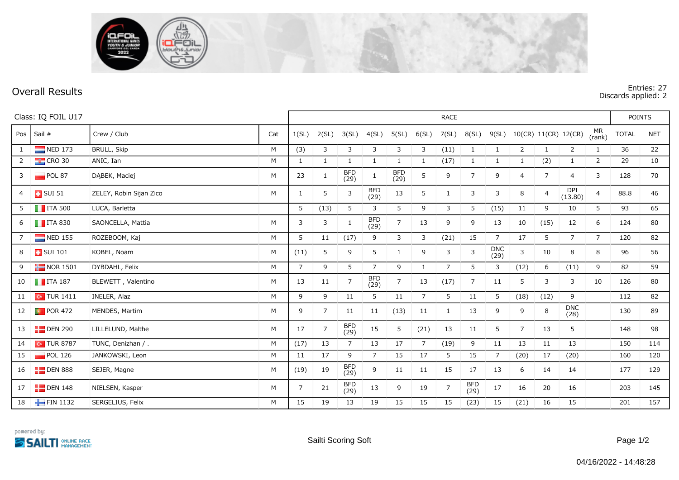

**Overall Results Entries: 27 Discards applied: 2**

| Class: IQ FOIL U17 |                         |                         |     | <b>RACE</b>    |                |                    |                    |                |                |                |                    |                |                |                |                      | <b>POINTS</b>  |              |            |
|--------------------|-------------------------|-------------------------|-----|----------------|----------------|--------------------|--------------------|----------------|----------------|----------------|--------------------|----------------|----------------|----------------|----------------------|----------------|--------------|------------|
| Pos                | Sail #                  | Crew / Club             | Cat | 1(SL)          | 2(SL)          | 3(SL)              | 4(SL)              | 5(SL)          | 6(SL)          | 7(SL)          | 8(SL)              | 9(SL)          |                |                | 10(CR) 11(CR) 12(CR) | MR<br>(rank)   | <b>TOTAL</b> | <b>NET</b> |
| $\mathbf{1}$       | NED 173                 | <b>BRULL, Skip</b>      | M   | (3)            | 3              | 3                  | 3                  | 3              | 3              | (11)           | 1                  | -1             | $\overline{2}$ | 1              | $\overline{2}$       | 1              | 36           | 22         |
| $\overline{2}$     | $\frac{1}{2}$ CRO 30    | ANIC, Ian               | M   | $\mathbf{1}$   | 1              | 1                  | 1                  | $\mathbf{1}$   |                | (17)           | 1                  | 1              | $\mathbf{1}$   | (2)            | $\mathbf{1}$         | $\overline{2}$ | 29           | 10         |
| 3                  | POL 87                  | DABEK, Maciej           | M   | 23             | $\mathbf{1}$   | <b>BFD</b><br>(29) | 1                  | BFD<br>(29)    | 5              | 9              | $\overline{7}$     | 9              | 4              | $\overline{7}$ | 4                    | 3              | 128          | 70         |
| 4                  | $\overline{1}$ SUI 51   | ZELEY, Robin Sijan Zico | M   | $\mathbf{1}$   | 5              | $\mathbf{3}$       | <b>BFD</b><br>(29) | 13             | 5              | 1              | 3                  | 3              | 8              | $\overline{4}$ | DPI<br>(13.80)       | $\overline{4}$ | 88.8         | 46         |
| 5                  | $\blacksquare$ ITA 500  | LUCA, Barletta          |     | 5              | (13)           | 5                  | 3                  | 5              | 9              | 3              | 5                  | (15)           | 11             | 9              | 10                   | 5              | 93           | 65         |
| 6                  | $\blacksquare$ ITA 830  | SAONCELLA, Mattia       | M   | 3              | 3              | 1                  | BFD<br>(29)        | $\overline{7}$ | 13             | 9              | 9                  | 13             | 10             | (15)           | 12                   | 6              | 124          | 80         |
| $7\overline{ }$    | $\blacksquare$ NED 155  | ROZEBOOM, Kaj           | M   | 5              | 11             | (17)               | 9                  | 3              | 3              | (21)           | 15                 | $\overline{7}$ | 17             | 5              | $7^{\circ}$          | $\overline{7}$ | 120          | 82         |
| 8                  | <b>B</b> SUI 101        | KOBEL, Noam             | M   | (11)           | 5              | 9                  | 5                  | $\mathbf{1}$   | 9              | 3              | 3                  | DNC<br>(29)    | 3              | 10             | 8                    | 8              | 96           | 56         |
| 9                  | $\blacksquare$ NOR 1501 | DYBDAHL, Felix          | M   | $\overline{7}$ | 9              | 5                  | $\overline{7}$     | 9              | $\mathbf{1}$   | $\overline{7}$ | 5                  | 3              | (12)           | 6              | (11)                 | 9              | 82           | 59         |
| 10                 | $\blacksquare$ ITA 187  | BLEWETT, Valentino      | M   | 13             | 11             | $\overline{7}$     | <b>BFD</b><br>(29) | $\overline{7}$ | 13             | (17)           | $\overline{7}$     | 11             | 5              | 3              | 3                    | 10             | 126          | 80         |
| 11                 | $\sim$ TUR 1411         | INELER, Alaz            | M   | 9              | 9              | 11                 | 5                  | 11             | $\overline{7}$ | 5              | 11                 | 5              | (18)           | (12)           | 9                    |                | 112          | 82         |
| 12                 | $\blacksquare$ POR 472  | MENDES, Martim          | M   | 9              | $\overline{7}$ | 11                 | 11                 | (13)           | 11             | 1              | 13                 | 9              | 9              | 8              | <b>DNC</b><br>(28)   |                | 130          | 89         |
| 13                 | $\blacksquare$ DEN 290  | LILLELUND, Malthe       | M   | 17             | $\overline{7}$ | <b>BFD</b><br>(29) | 15                 | 5              | (21)           | 13             | 11                 | 5              | $\overline{7}$ | 13             | 5                    |                | 148          | 98         |
| 14                 | $\sim$ TUR 8787         | TUNC, Denizhan / .      | M   | (17)           | 13             | $\overline{7}$     | 13                 | 17             | $\overline{7}$ | (19)           | 9                  | 11             | 13             | 11             | 13                   |                | 150          | 114        |
| 15                 | $\blacksquare$ POL 126  | JANKOWSKI, Leon         | M   | 11             | 17             | 9                  | $\overline{7}$     | 15             | 17             | 5              | 15                 | $\overline{7}$ | (20)           | 17             | (20)                 |                | 160          | 120        |
| 16                 | $E$ DEN 888             | SEJER, Magne            | M   | (19)           | 19             | BFD<br>(29)        | 9                  | 11             | 11             | 15             | 17                 | 13             | 6              | 14             | 14                   |                | 177          | 129        |
| 17                 | $E$ DEN 148             | NIELSEN, Kasper         | M   | $\overline{7}$ | 21             | <b>BFD</b><br>(29) | 13                 | 9              | 19             | $\overline{7}$ | <b>BFD</b><br>(29) | 17             | 16             | 20             | 16                   |                | 203          | 145        |
| 18                 | FIN 1132                | SERGELIUS, Felix        | M   | 15             | 19             | 13                 | 19                 | 15             | 15             | 15             | (23)               | 15             | (21)           | 16             | 15                   |                | 201          | 157        |